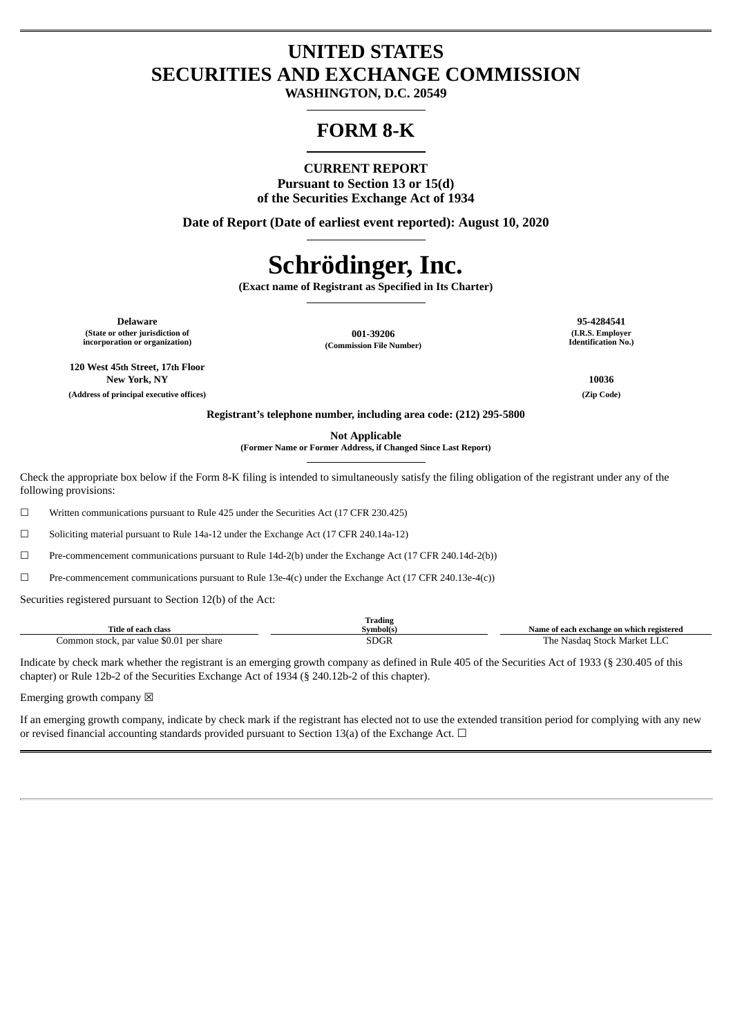# **UNITED STATES SECURITIES AND EXCHANGE COMMISSION**

**WASHINGTON, D.C. 20549**

# **FORM 8-K**

# **CURRENT REPORT**

**Pursuant to Section 13 or 15(d) of the Securities Exchange Act of 1934**

**Date of Report (Date of earliest event reported): August 10, 2020**

# **Schrödinger, Inc.**

**(Exact name of Registrant as Specified in Its Charter)**

**Delaware 95-4284541 (State or other jurisdiction of incorporation or organization)**

**001-39206**

**(I.R.S. Employer Identification No.)**

**120 West 45th Street, 17th Floor New York, NY 10036 (Address of principal executive offices) (Zip Code)**

**(Commission File Number)**

**Registrant's telephone number, including area code: (212) 295-5800**

**Not Applicable**

**(Former Name or Former Address, if Changed Since Last Report)**

Check the appropriate box below if the Form 8-K filing is intended to simultaneously satisfy the filing obligation of the registrant under any of the following provisions:

☐ Written communications pursuant to Rule 425 under the Securities Act (17 CFR 230.425)

☐ Soliciting material pursuant to Rule 14a-12 under the Exchange Act (17 CFR 240.14a-12)

☐ Pre-commencement communications pursuant to Rule 14d-2(b) under the Exchange Act (17 CFR 240.14d-2(b))

☐ Pre-commencement communications pursuant to Rule 13e-4(c) under the Exchange Act (17 CFR 240.13e-4(c))

Securities registered pursuant to Section 12(b) of the Act:

|                                          | <b>Trading</b> |                                           |
|------------------------------------------|----------------|-------------------------------------------|
| <b>Title of each class</b>               | Svmbol(s)      | Name of each exchange on which registered |
| Common stock, par value \$0.01 per share | <b>SDGR</b>    | : Nasdag Stock Market LLC<br>r'he-        |

Indicate by check mark whether the registrant is an emerging growth company as defined in Rule 405 of the Securities Act of 1933 (§ 230.405 of this chapter) or Rule 12b-2 of the Securities Exchange Act of 1934 (§ 240.12b-2 of this chapter).

Emerging growth company  $\boxtimes$ 

If an emerging growth company, indicate by check mark if the registrant has elected not to use the extended transition period for complying with any new or revised financial accounting standards provided pursuant to Section 13(a) of the Exchange Act. □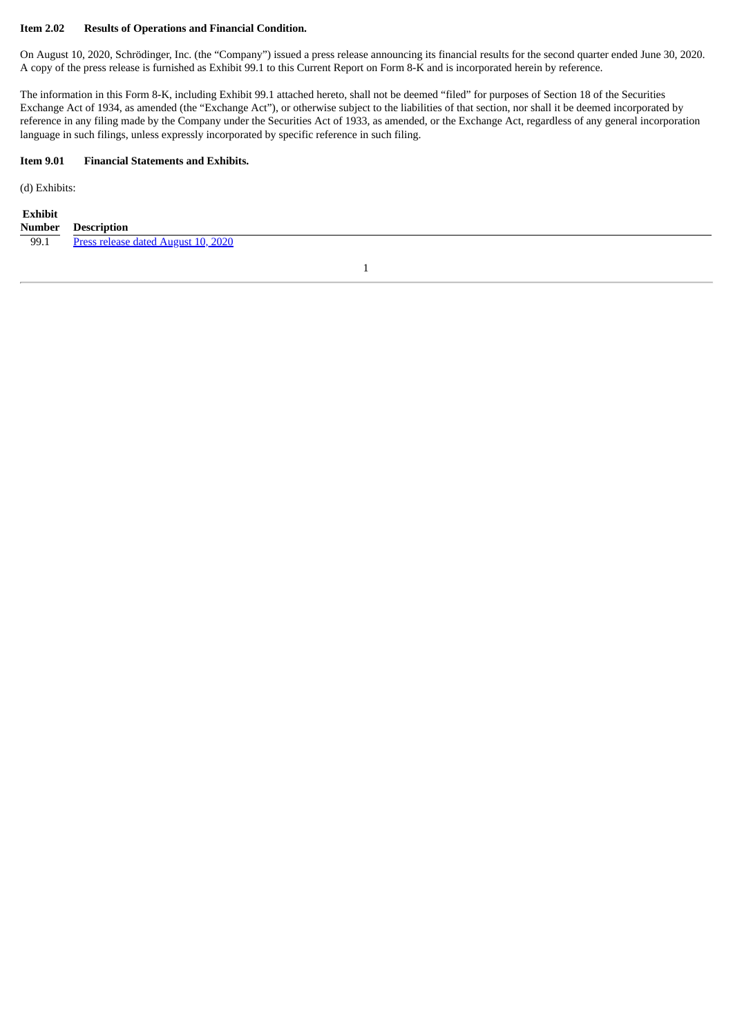#### **Item 2.02 Results of Operations and Financial Condition.**

On August 10, 2020, Schrödinger, Inc. (the "Company") issued a press release announcing its financial results for the second quarter ended June 30, 2020. A copy of the press release is furnished as Exhibit 99.1 to this Current Report on Form 8-K and is incorporated herein by reference.

The information in this Form 8-K, including Exhibit 99.1 attached hereto, shall not be deemed "filed" for purposes of Section 18 of the Securities Exchange Act of 1934, as amended (the "Exchange Act"), or otherwise subject to the liabilities of that section, nor shall it be deemed incorporated by reference in any filing made by the Company under the Securities Act of 1933, as amended, or the Exchange Act, regardless of any general incorporation language in such filings, unless expressly incorporated by specific reference in such filing.

#### **Item 9.01 Financial Statements and Exhibits.**

(d) Exhibits:

| Exhibit |                    |
|---------|--------------------|
| Number  | <b>Description</b> |

|      | .                                   |
|------|-------------------------------------|
| 99.1 | Press release dated August 10, 2020 |

1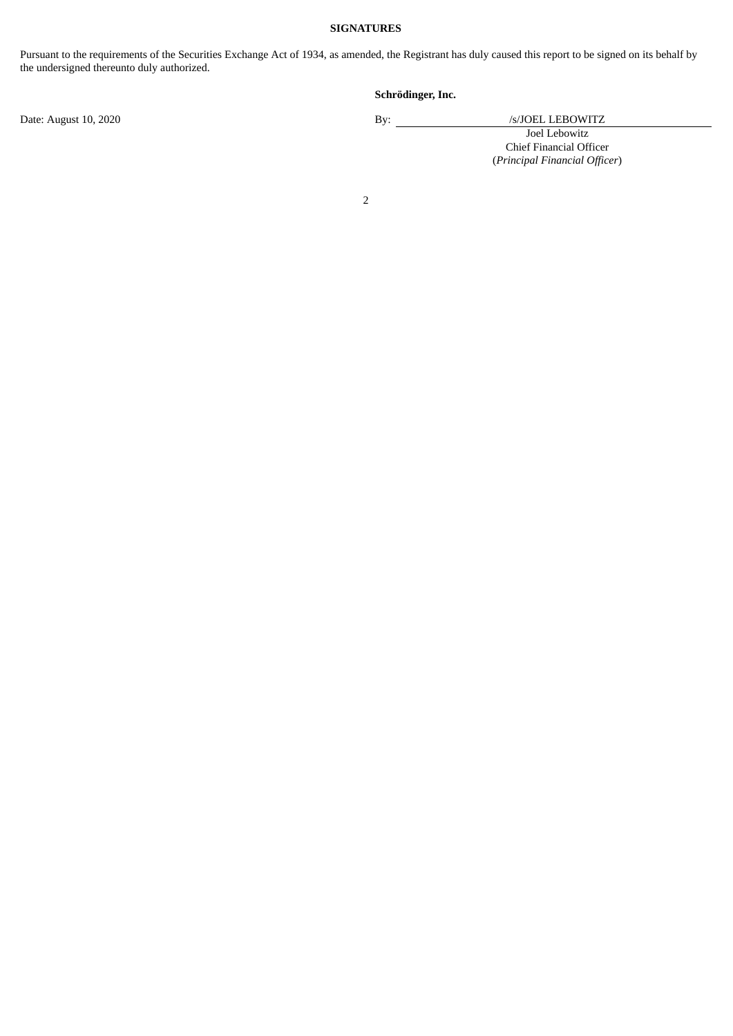#### **SIGNATURES**

Pursuant to the requirements of the Securities Exchange Act of 1934, as amended, the Registrant has duly caused this report to be signed on its behalf by the undersigned thereunto duly authorized.

# **Schrödinger, Inc.**

Date: August 10, 2020 By: /s/JOEL LEBOWITZ Joel Lebowitz Chief Financial Officer (*Principal Financial Officer*)

# 2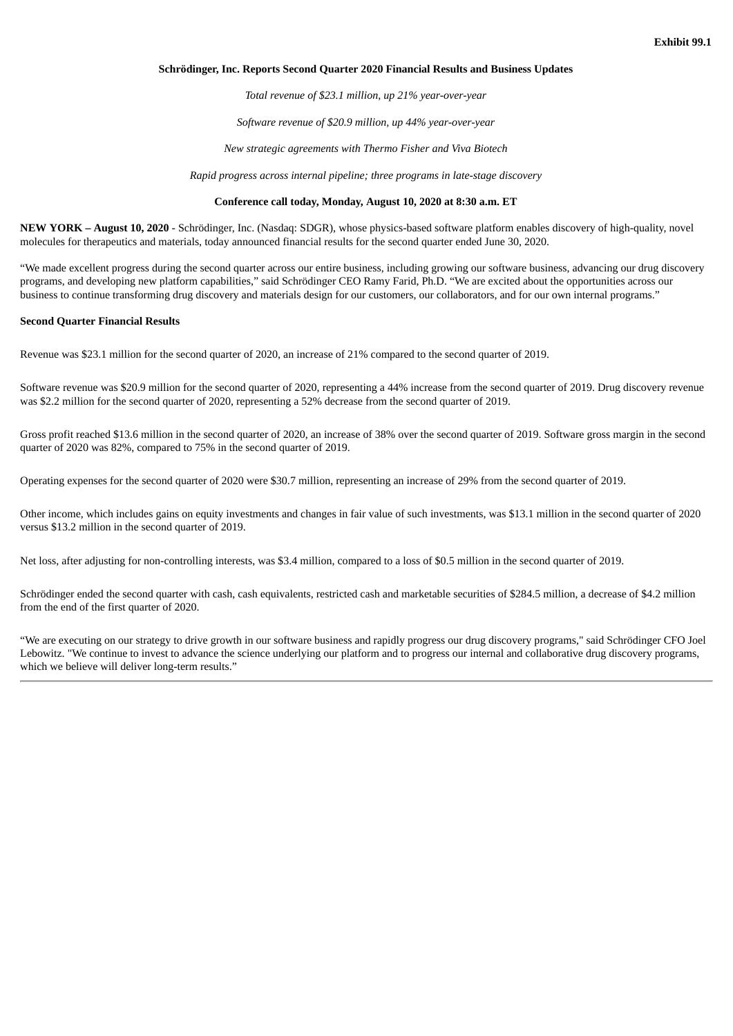#### <span id="page-3-0"></span>**Schrödinger, Inc. Reports Second Quarter 2020 Financial Results and Business Updates**

*Total revenue of \$23.1 million, up 21% year-over-year*

*Software revenue of \$20.9 million, up 44% year-over-year*

*New strategic agreements with Thermo Fisher and Viva Biotech*

*Rapid progress across internal pipeline; three programs in late-stage discovery*

#### **Conference call today, Monday, August 10, 2020 at 8:30 a.m. ET**

**NEW YORK – August 10, 2020** - Schrödinger, Inc. (Nasdaq: SDGR), whose physics-based software platform enables discovery of high-quality, novel molecules for therapeutics and materials, today announced financial results for the second quarter ended June 30, 2020.

"We made excellent progress during the second quarter across our entire business, including growing our software business, advancing our drug discovery programs, and developing new platform capabilities," said Schrödinger CEO Ramy Farid, Ph.D. "We are excited about the opportunities across our business to continue transforming drug discovery and materials design for our customers, our collaborators, and for our own internal programs."

#### **Second Quarter Financial Results**

Revenue was \$23.1 million for the second quarter of 2020, an increase of 21% compared to the second quarter of 2019.

Software revenue was \$20.9 million for the second quarter of 2020, representing a 44% increase from the second quarter of 2019. Drug discovery revenue was \$2.2 million for the second quarter of 2020, representing a 52% decrease from the second quarter of 2019.

Gross profit reached \$13.6 million in the second quarter of 2020, an increase of 38% over the second quarter of 2019. Software gross margin in the second quarter of 2020 was 82%, compared to 75% in the second quarter of 2019.

Operating expenses for the second quarter of 2020 were \$30.7 million, representing an increase of 29% from the second quarter of 2019.

Other income, which includes gains on equity investments and changes in fair value of such investments, was \$13.1 million in the second quarter of 2020 versus \$13.2 million in the second quarter of 2019.

Net loss, after adjusting for non-controlling interests, was \$3.4 million, compared to a loss of \$0.5 million in the second quarter of 2019.

Schrödinger ended the second quarter with cash, cash equivalents, restricted cash and marketable securities of \$284.5 million, a decrease of \$4.2 million from the end of the first quarter of 2020.

"We are executing on our strategy to drive growth in our software business and rapidly progress our drug discovery programs," said Schrödinger CFO Joel Lebowitz. "We continue to invest to advance the science underlying our platform and to progress our internal and collaborative drug discovery programs, which we believe will deliver long-term results."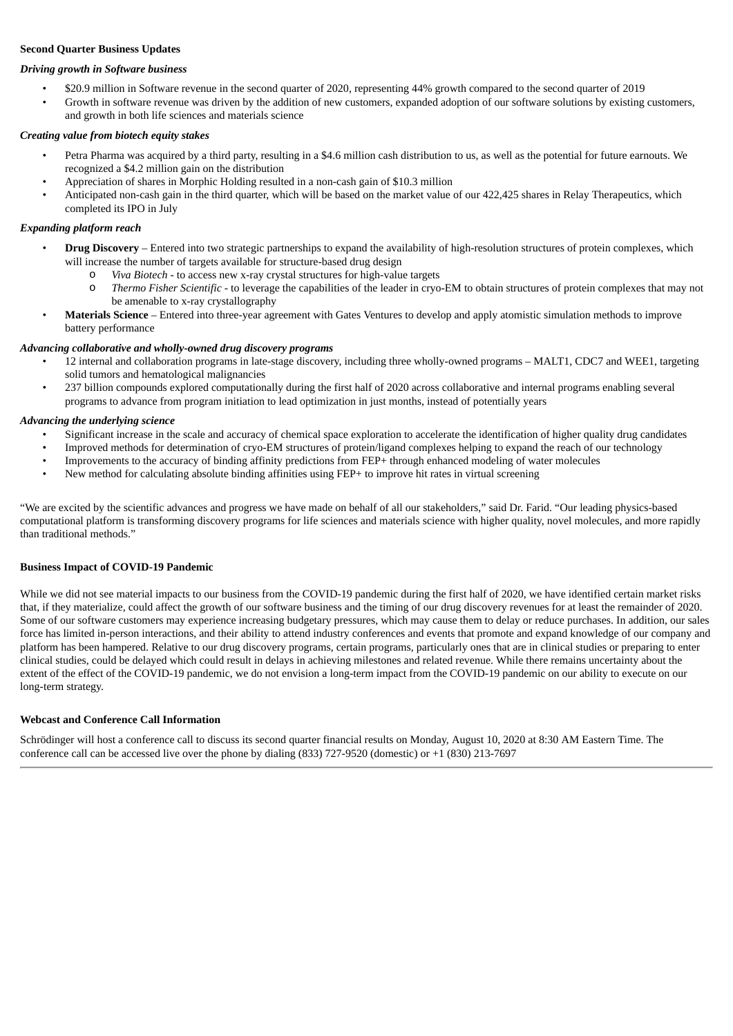#### **Second Quarter Business Updates**

#### *Driving growth in Software business*

- \$20.9 million in Software revenue in the second quarter of 2020, representing 44% growth compared to the second quarter of 2019
- Growth in software revenue was driven by the addition of new customers, expanded adoption of our software solutions by existing customers, and growth in both life sciences and materials science

#### *Creating value from biotech equity stakes*

- Petra Pharma was acquired by a third party, resulting in a \$4.6 million cash distribution to us, as well as the potential for future earnouts. We recognized a \$4.2 million gain on the distribution
- Appreciation of shares in Morphic Holding resulted in a non-cash gain of \$10.3 million
- Anticipated non-cash gain in the third quarter, which will be based on the market value of our 422,425 shares in Relay Therapeutics, which completed its IPO in July

#### *Expanding platform reach*

- **Drug Discovery** Entered into two strategic partnerships to expand the availability of high-resolution structures of protein complexes, which will increase the number of targets available for structure-based drug design
	- o *Viva Biotech* to access new x-ray crystal structures for high-value targets
	- o *Thermo Fisher Scientific* to leverage the capabilities of the leader in cryo-EM to obtain structures of protein complexes that may not be amenable to x-ray crystallography
- **Materials Science** Entered into three-year agreement with Gates Ventures to develop and apply atomistic simulation methods to improve battery performance

#### *Advancing collaborative and wholly-owned drug discovery programs*

- 12 internal and collaboration programs in late-stage discovery, including three wholly-owned programs MALT1, CDC7 and WEE1, targeting solid tumors and hematological malignancies
- 237 billion compounds explored computationally during the first half of 2020 across collaborative and internal programs enabling several programs to advance from program initiation to lead optimization in just months, instead of potentially years

#### *Advancing the underlying science*

- Significant increase in the scale and accuracy of chemical space exploration to accelerate the identification of higher quality drug candidates
- Improved methods for determination of cryo-EM structures of protein/ligand complexes helping to expand the reach of our technology
- Improvements to the accuracy of binding affinity predictions from FEP+ through enhanced modeling of water molecules
- New method for calculating absolute binding affinities using FEP+ to improve hit rates in virtual screening

"We are excited by the scientific advances and progress we have made on behalf of all our stakeholders," said Dr. Farid. "Our leading physics-based computational platform is transforming discovery programs for life sciences and materials science with higher quality, novel molecules, and more rapidly than traditional methods."

#### **Business Impact of COVID-19 Pandemic**

While we did not see material impacts to our business from the COVID-19 pandemic during the first half of 2020, we have identified certain market risks that, if they materialize, could affect the growth of our software business and the timing of our drug discovery revenues for at least the remainder of 2020. Some of our software customers may experience increasing budgetary pressures, which may cause them to delay or reduce purchases. In addition, our sales force has limited in-person interactions, and their ability to attend industry conferences and events that promote and expand knowledge of our company and platform has been hampered. Relative to our drug discovery programs, certain programs, particularly ones that are in clinical studies or preparing to enter clinical studies, could be delayed which could result in delays in achieving milestones and related revenue. While there remains uncertainty about the extent of the effect of the COVID-19 pandemic, we do not envision a long-term impact from the COVID-19 pandemic on our ability to execute on our long-term strategy.

### **Webcast and Conference Call Information**

Schrödinger will host a conference call to discuss its second quarter financial results on Monday, August 10, 2020 at 8:30 AM Eastern Time. The conference call can be accessed live over the phone by dialing (833) 727-9520 (domestic) or +1 (830) 213-7697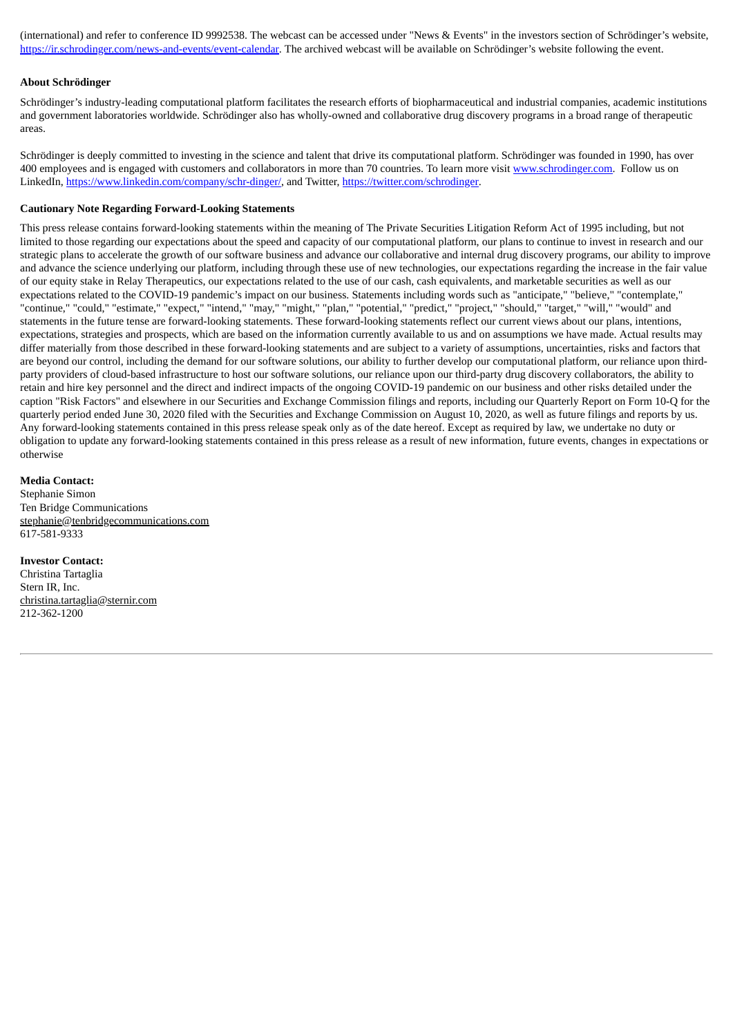(international) and refer to conference ID 9992538. The webcast can be accessed under "News & Events" in the investors section of Schrödinger's website, https://ir.schrodinger.com/news-and-events/event-calendar. The archived webcast will be available on Schrödinger's website following the event.

#### **About Schrödinger**

Schrödinger's industry-leading computational platform facilitates the research efforts of biopharmaceutical and industrial companies, academic institutions and government laboratories worldwide. Schrödinger also has wholly-owned and collaborative drug discovery programs in a broad range of therapeutic areas.

Schrödinger is deeply committed to investing in the science and talent that drive its computational platform. Schrödinger was founded in 1990, has over 400 employees and is engaged with customers and collaborators in more than 70 countries. To learn more visit www.schrodinger.com. Follow us on LinkedIn, https://www.linkedin.com/company/schr-dinger/, and Twitter, https://twitter.com/schrodinger.

#### **Cautionary Note Regarding Forward-Looking Statements**

This press release contains forward-looking statements within the meaning of The Private Securities Litigation Reform Act of 1995 including, but not limited to those regarding our expectations about the speed and capacity of our computational platform, our plans to continue to invest in research and our strategic plans to accelerate the growth of our software business and advance our collaborative and internal drug discovery programs, our ability to improve and advance the science underlying our platform, including through these use of new technologies, our expectations regarding the increase in the fair value of our equity stake in Relay Therapeutics, our expectations related to the use of our cash, cash equivalents, and marketable securities as well as our expectations related to the COVID-19 pandemic's impact on our business. Statements including words such as "anticipate," "believe," "contemplate," "continue," "could," "estimate," "expect," "intend," "may," "might," "plan," "potential," "predict," "project," "should," "target," "will," "would" and statements in the future tense are forward-looking statements. These forward-looking statements reflect our current views about our plans, intentions, expectations, strategies and prospects, which are based on the information currently available to us and on assumptions we have made. Actual results may differ materially from those described in these forward-looking statements and are subject to a variety of assumptions, uncertainties, risks and factors that are beyond our control, including the demand for our software solutions, our ability to further develop our computational platform, our reliance upon thirdparty providers of cloud-based infrastructure to host our software solutions, our reliance upon our third-party drug discovery collaborators, the ability to retain and hire key personnel and the direct and indirect impacts of the ongoing COVID-19 pandemic on our business and other risks detailed under the caption "Risk Factors" and elsewhere in our Securities and Exchange Commission filings and reports, including our Quarterly Report on Form 10-Q for the quarterly period ended June 30, 2020 filed with the Securities and Exchange Commission on August 10, 2020, as well as future filings and reports by us. Any forward-looking statements contained in this press release speak only as of the date hereof. Except as required by law, we undertake no duty or obligation to update any forward-looking statements contained in this press release as a result of new information, future events, changes in expectations or otherwise

#### **Media Contact:**

Stephanie Simon Ten Bridge Communications stephanie@tenbridgecommunications.com 617-581-9333

**Investor Contact:** Christina Tartaglia Stern IR, Inc. christina.tartaglia@sternir.com 212-362-1200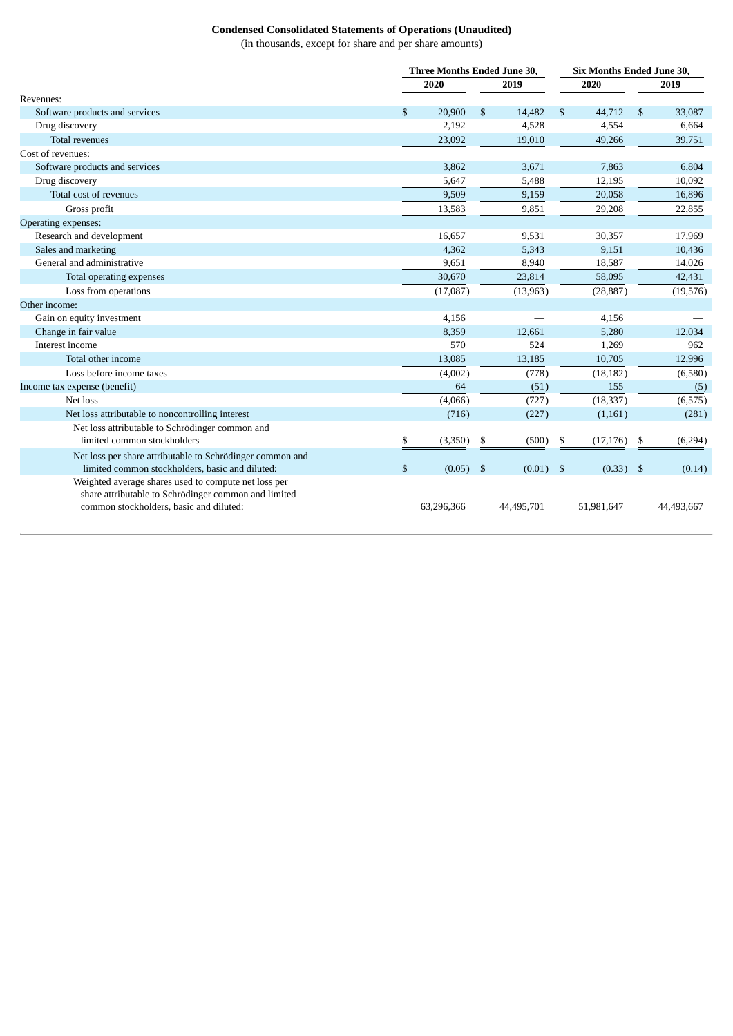# **Condensed Consolidated Statements of Operations (Unaudited)**

(in thousands, except for share and per share amounts)

|                                                           |               | Three Months Ended June 30, |            | <b>Six Months Ended June 30,</b> |            |    |            |  |
|-----------------------------------------------------------|---------------|-----------------------------|------------|----------------------------------|------------|----|------------|--|
|                                                           | 2020          |                             | 2019       |                                  | 2020       |    | 2019       |  |
| Revenues:                                                 |               |                             |            |                                  |            |    |            |  |
| Software products and services                            | \$<br>20,900  | \$                          | 14,482     | \$                               | 44,712     | \$ | 33,087     |  |
| Drug discovery                                            | 2,192         |                             | 4,528      |                                  | 4,554      |    | 6,664      |  |
| <b>Total revenues</b>                                     | 23,092        |                             | 19,010     |                                  | 49,266     |    | 39,751     |  |
| Cost of revenues:                                         |               |                             |            |                                  |            |    |            |  |
| Software products and services                            | 3,862         |                             | 3,671      |                                  | 7,863      |    | 6,804      |  |
| Drug discovery                                            | 5,647         |                             | 5,488      |                                  | 12,195     |    | 10,092     |  |
| Total cost of revenues                                    | 9,509         |                             | 9,159      |                                  | 20,058     |    | 16,896     |  |
| Gross profit                                              | 13,583        |                             | 9,851      |                                  | 29,208     |    | 22,855     |  |
| Operating expenses:                                       |               |                             |            |                                  |            |    |            |  |
| Research and development                                  | 16,657        |                             | 9,531      |                                  | 30,357     |    | 17,969     |  |
| Sales and marketing                                       | 4,362         |                             | 5,343      |                                  | 9.151      |    | 10,436     |  |
| General and administrative                                | 9,651         |                             | 8,940      |                                  | 18,587     |    | 14,026     |  |
| Total operating expenses                                  | 30,670        |                             | 23,814     |                                  | 58,095     |    | 42,431     |  |
| Loss from operations                                      | (17,087)      |                             | (13,963)   |                                  | (28, 887)  |    | (19,576)   |  |
| Other income:                                             |               |                             |            |                                  |            |    |            |  |
| Gain on equity investment                                 | 4,156         |                             |            |                                  | 4,156      |    |            |  |
| Change in fair value                                      | 8,359         |                             | 12,661     |                                  | 5,280      |    | 12,034     |  |
| Interest income                                           | 570           |                             | 524        |                                  | 1,269      |    | 962        |  |
| Total other income                                        | 13,085        |                             | 13,185     |                                  | 10,705     |    | 12,996     |  |
| Loss before income taxes                                  | (4,002)       |                             | (778)      |                                  | (18, 182)  |    | (6,580)    |  |
| Income tax expense (benefit)                              | 64            |                             | (51)       |                                  | 155        |    | (5)        |  |
| Net loss                                                  | (4,066)       |                             | (727)      |                                  | (18, 337)  |    | (6, 575)   |  |
| Net loss attributable to noncontrolling interest          | (716)         |                             | (227)      |                                  | (1, 161)   |    | (281)      |  |
| Net loss attributable to Schrödinger common and           |               |                             |            |                                  |            |    |            |  |
| limited common stockholders                               | \$<br>(3,350) | \$                          | (500)      | \$                               | (17, 176)  | \$ | (6,294)    |  |
| Net loss per share attributable to Schrödinger common and |               |                             |            |                                  |            |    |            |  |
| limited common stockholders, basic and diluted:           | \$<br>(0.05)  | -\$                         | (0.01)     | \$                               | (0.33)     | \$ | (0.14)     |  |
| Weighted average shares used to compute net loss per      |               |                             |            |                                  |            |    |            |  |
| share attributable to Schrödinger common and limited      |               |                             |            |                                  |            |    |            |  |
| common stockholders, basic and diluted:                   | 63,296,366    |                             | 44,495,701 |                                  | 51,981,647 |    | 44,493,667 |  |
|                                                           |               |                             |            |                                  |            |    |            |  |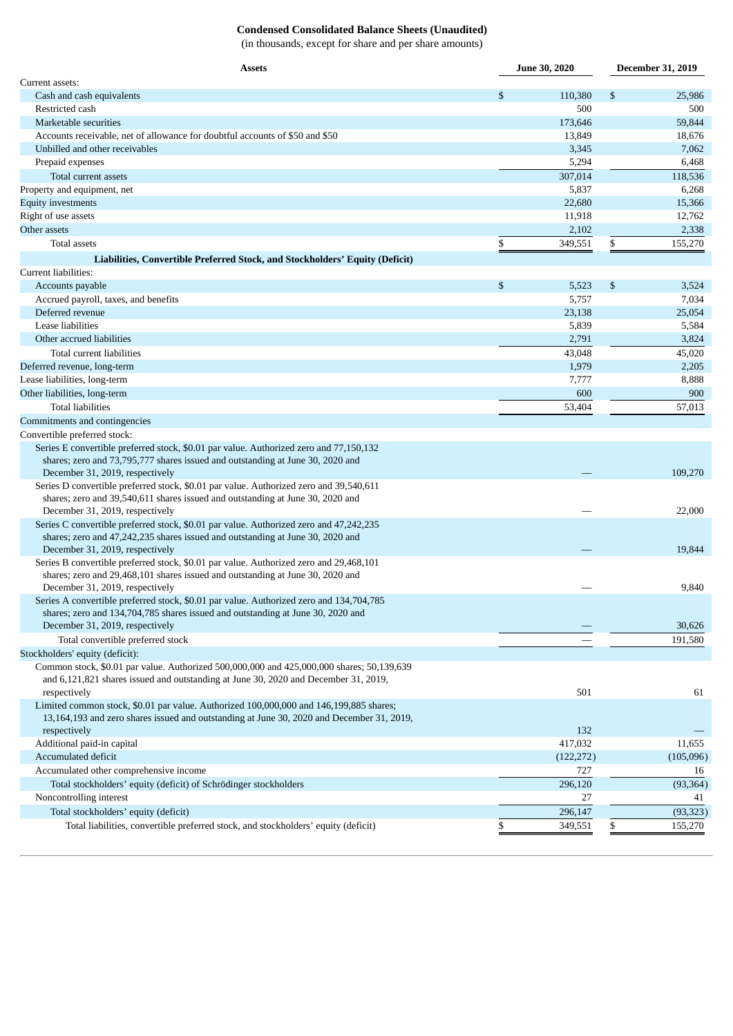# **Condensed Consolidated Balance Sheets (Unaudited)**

(in thousands, except for share and per share amounts)

| <b>Assets</b>                                                                             |    | <b>June 30, 2020</b> | <b>December 31, 2019</b> |           |  |
|-------------------------------------------------------------------------------------------|----|----------------------|--------------------------|-----------|--|
| Current assets:                                                                           |    |                      |                          |           |  |
| Cash and cash equivalents                                                                 | \$ | 110,380              | \$                       | 25,986    |  |
| Restricted cash                                                                           |    | 500                  |                          | 500       |  |
| Marketable securities                                                                     |    | 173,646              |                          | 59,844    |  |
| Accounts receivable, net of allowance for doubtful accounts of \$50 and \$50              |    | 13,849               |                          | 18,676    |  |
| Unbilled and other receivables                                                            |    | 3,345                |                          | 7,062     |  |
| Prepaid expenses                                                                          |    | 5,294                |                          | 6,468     |  |
| Total current assets                                                                      |    | 307,014              |                          | 118,536   |  |
| Property and equipment, net                                                               |    | 5,837                |                          | 6,268     |  |
| <b>Equity investments</b>                                                                 |    | 22,680               |                          | 15,366    |  |
| Right of use assets                                                                       |    | 11,918               |                          | 12,762    |  |
| Other assets                                                                              |    | 2,102                |                          | 2,338     |  |
| Total assets                                                                              | \$ | 349,551              | \$                       | 155,270   |  |
| Liabilities, Convertible Preferred Stock, and Stockholders' Equity (Deficit)              |    |                      |                          |           |  |
| Current liabilities:                                                                      |    |                      |                          |           |  |
| Accounts payable                                                                          | \$ | 5,523                | \$                       | 3,524     |  |
| Accrued payroll, taxes, and benefits                                                      |    | 5,757                |                          | 7,034     |  |
| Deferred revenue                                                                          |    | 23,138               |                          | 25,054    |  |
| Lease liabilities                                                                         |    | 5,839                |                          | 5,584     |  |
| Other accrued liabilities                                                                 |    | 2,791                |                          | 3,824     |  |
| Total current liabilities                                                                 |    | 43,048               |                          | 45,020    |  |
| Deferred revenue, long-term                                                               |    | 1,979                |                          | 2,205     |  |
| Lease liabilities, long-term                                                              |    | 7,777                |                          | 8,888     |  |
| Other liabilities, long-term                                                              |    | 600                  |                          | 900       |  |
| <b>Total liabilities</b>                                                                  |    | 53,404               |                          | 57,013    |  |
| Commitments and contingencies                                                             |    |                      |                          |           |  |
| Convertible preferred stock:                                                              |    |                      |                          |           |  |
| Series E convertible preferred stock, \$0.01 par value. Authorized zero and 77,150,132    |    |                      |                          |           |  |
| shares; zero and 73,795,777 shares issued and outstanding at June 30, 2020 and            |    |                      |                          |           |  |
| December 31, 2019, respectively                                                           |    |                      |                          | 109,270   |  |
| Series D convertible preferred stock, \$0.01 par value. Authorized zero and 39,540,611    |    |                      |                          |           |  |
| shares; zero and 39,540,611 shares issued and outstanding at June 30, 2020 and            |    |                      |                          |           |  |
| December 31, 2019, respectively                                                           |    |                      |                          | 22,000    |  |
| Series C convertible preferred stock, \$0.01 par value. Authorized zero and 47,242,235    |    |                      |                          |           |  |
| shares; zero and 47,242,235 shares issued and outstanding at June 30, 2020 and            |    |                      |                          |           |  |
| December 31, 2019, respectively                                                           |    |                      |                          | 19,844    |  |
| Series B convertible preferred stock, \$0.01 par value. Authorized zero and 29,468,101    |    |                      |                          |           |  |
| shares; zero and 29,468,101 shares issued and outstanding at June 30, 2020 and            |    |                      |                          |           |  |
| December 31, 2019, respectively                                                           |    |                      |                          | 9,840     |  |
| Series A convertible preferred stock, \$0.01 par value. Authorized zero and 134,704,785   |    |                      |                          |           |  |
| shares; zero and 134,704,785 shares issued and outstanding at June 30, 2020 and           |    |                      |                          |           |  |
| December 31, 2019, respectively                                                           |    |                      |                          | 30,626    |  |
| Total convertible preferred stock                                                         |    |                      |                          | 191,580   |  |
| Stockholders' equity (deficit):                                                           |    |                      |                          |           |  |
| Common stock, \$0.01 par value. Authorized 500,000,000 and 425,000,000 shares; 50,139,639 |    |                      |                          |           |  |
| and 6,121,821 shares issued and outstanding at June 30, 2020 and December 31, 2019,       |    |                      |                          |           |  |
| respectively                                                                              |    | 501                  |                          | 61        |  |
| Limited common stock, \$0.01 par value. Authorized 100,000,000 and 146,199,885 shares;    |    |                      |                          |           |  |
| 13,164,193 and zero shares issued and outstanding at June 30, 2020 and December 31, 2019, |    |                      |                          |           |  |
| respectively                                                                              |    | 132                  |                          |           |  |
| Additional paid-in capital                                                                |    | 417,032              |                          | 11,655    |  |
| Accumulated deficit                                                                       |    | (122, 272)           |                          | (105,096) |  |
| Accumulated other comprehensive income                                                    |    | 727                  |                          | 16        |  |
| Total stockholders' equity (deficit) of Schrödinger stockholders                          |    | 296,120              |                          | (93, 364) |  |
| Noncontrolling interest                                                                   |    | 27                   |                          | 41        |  |
| Total stockholders' equity (deficit)                                                      |    | 296,147              |                          | (93, 323) |  |
| Total liabilities, convertible preferred stock, and stockholders' equity (deficit)        | \$ | 349,551              | \$                       | 155,270   |  |
|                                                                                           |    |                      |                          |           |  |